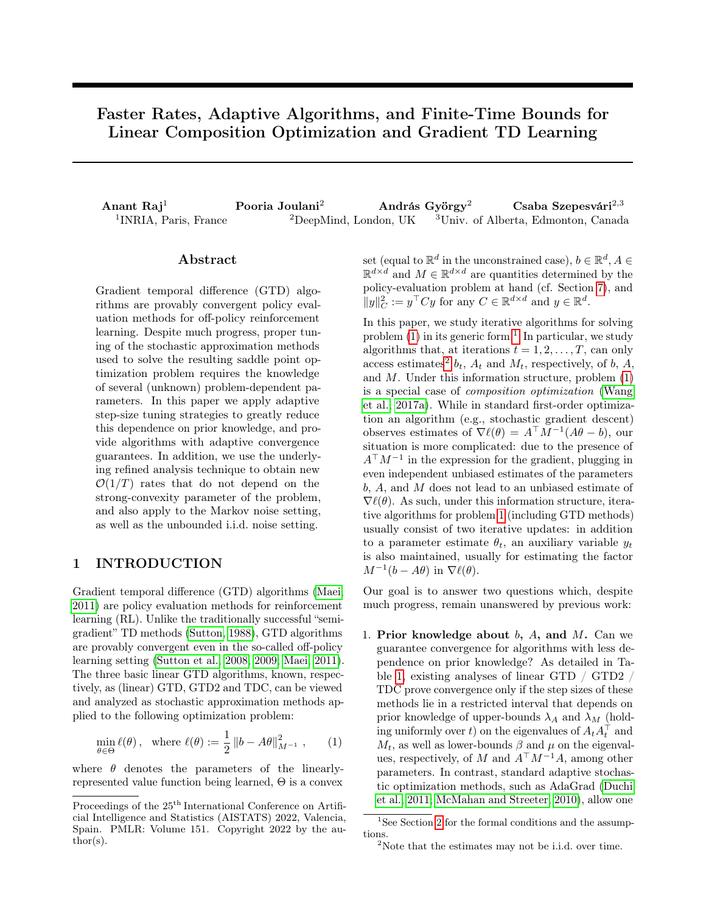# Faster Rates, Adaptive Algorithms, and Finite-Time Bounds for Linear Composition Optimization and Gradient TD Learning

Anant Raj<sup>1</sup> Pooria Joulani<sup>2</sup> András György<sup>2</sup> Csaba Szepesvári<sup>2,3</sup> <sup>1</sup>INRIA, Paris, France  $1^2$ DeepMind, London, UK  $3^1$ Univ. of Alberta, Edmonton, Canada

#### Abstract

Gradient temporal difference (GTD) algorithms are provably convergent policy evaluation methods for off-policy reinforcement learning. Despite much progress, proper tuning of the stochastic approximation methods used to solve the resulting saddle point optimization problem requires the knowledge of several (unknown) problem-dependent parameters. In this paper we apply adaptive step-size tuning strategies to greatly reduce this dependence on prior knowledge, and provide algorithms with adaptive convergence guarantees. In addition, we use the underlying refined analysis technique to obtain new  $\mathcal{O}(1/T)$  rates that do not depend on the strong-convexity parameter of the problem, and also apply to the Markov noise setting, as well as the unbounded i.i.d. noise setting.

### 1 INTRODUCTION

Gradient temporal difference (GTD) algorithms [\(Maei,](#page-9-0) [2011\)](#page-9-0) are policy evaluation methods for reinforcement learning (RL). Unlike the traditionally successful "semigradient" TD methods [\(Sutton, 1988\)](#page-9-1), GTD algorithms are provably convergent even in the so-called off-policy learning setting [\(Sutton et al., 2008,](#page-9-2) [2009;](#page-9-3) [Maei, 2011\)](#page-9-0). The three basic linear GTD algorithms, known, respectively, as (linear) GTD, GTD2 and TDC, can be viewed and analyzed as stochastic approximation methods applied to the following optimization problem:

$$
\min_{\theta \in \Theta} \ell(\theta), \quad \text{where } \ell(\theta) := \frac{1}{2} \left\| b - A\theta \right\|_{M^{-1}}^2, \tag{1}
$$

where  $\theta$  denotes the parameters of the linearlyrepresented value function being learned, Θ is a convex

set (equal to  $\mathbb{R}^d$  in the unconstrained case),  $b \in \mathbb{R}^d, A \in$  $\mathbb{R}^{d \times d}$  and  $M \in \mathbb{R}^{d \times d}$  are quantities determined by the policy-evaluation problem at hand (cf. Section [7\)](#page-7-0), and  $||y||_C^2 := y^\top C y$  for any  $C \in \mathbb{R}^{d \times d}$  and  $y \in \mathbb{R}^d$ .

In this paper, we study iterative algorithms for solving problem  $(1)$  in its generic form.<sup>[1](#page-0-1)</sup> In particular, we study algorithms that, at iterations  $t = 1, 2, \ldots, T$ , can only access estimates<sup>[2](#page-0-2)</sup>  $b_t$ ,  $A_t$  and  $M_t$ , respectively, of b, A, and  $M$ . Under this information structure, problem  $(1)$ is a special case of composition optimization [\(Wang](#page-9-4) [et al., 2017a\)](#page-9-4). While in standard first-order optimization an algorithm (e.g., stochastic gradient descent) observes estimates of  $\nabla \ell(\theta) = A^{\top} M^{-1} (A \theta - b)$ , our situation is more complicated: due to the presence of  $A^{\top}M^{-1}$  in the expression for the gradient, plugging in even independent unbiased estimates of the parameters b, A, and M does not lead to an unbiased estimate of  $\nabla \ell(\theta)$ . As such, under this information structure, iterative algorithms for problem [1](#page-0-0) (including GTD methods) usually consist of two iterative updates: in addition to a parameter estimate  $\theta_t$ , an auxiliary variable  $y_t$ is also maintained, usually for estimating the factor  $M^{-1}(b - A\theta)$  in  $\nabla \ell(\theta)$ .

Our goal is to answer two questions which, despite much progress, remain unanswered by previous work:

1. Prior knowledge about  $b$ ,  $A$ , and  $M$ . Can we guarantee convergence for algorithms with less dependence on prior knowledge? As detailed in Table [1,](#page-3-0) existing analyses of linear GTD / GTD2 / TDC prove convergence only if the step sizes of these methods lie in a restricted interval that depends on prior knowledge of upper-bounds  $\lambda_A$  and  $\lambda_M$  (holding uniformly over  $t)$  on the eigenvalues of  $A_t A_t^{\top}$  and  $M_t$ , as well as lower-bounds  $\beta$  and  $\mu$  on the eigenvalues, respectively, of M and  $A^{\top}M^{-1}A$ , among other parameters. In contrast, standard adaptive stochastic optimization methods, such as AdaGrad [\(Duchi](#page-8-0) [et al., 2011;](#page-8-0) [McMahan and Streeter, 2010\)](#page-9-5), allow one

Proceedings of the  $25^{\text{th}}$  International Conference on Artificial Intelligence and Statistics (AISTATS) 2022, Valencia, Spain. PMLR: Volume 151. Copyright 2022 by the author(s).

<span id="page-0-1"></span><span id="page-0-0"></span> $^1\rm{See}$  Section [2](#page-2-0) for the formal conditions and the assumptions.

<span id="page-0-2"></span><sup>&</sup>lt;sup>2</sup>Note that the estimates may not be i.i.d. over time.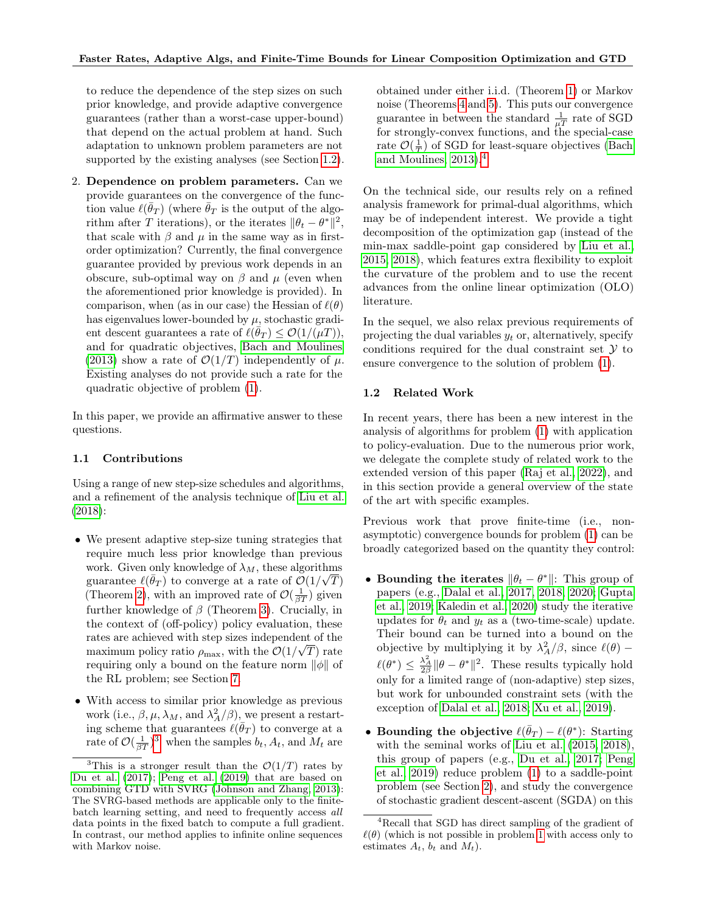to reduce the dependence of the step sizes on such prior knowledge, and provide adaptive convergence guarantees (rather than a worst-case upper-bound) that depend on the actual problem at hand. Such adaptation to unknown problem parameters are not supported by the existing analyses (see Section [1.2\)](#page-1-0).

2. Dependence on problem parameters. Can we provide guarantees on the convergence of the function value  $\ell(\bar{\theta}_T)$  (where  $\bar{\theta}_T$  is the output of the algorithm after T iterations), or the iterates  $\|\theta_t - \theta^*\|^2$ , that scale with  $\beta$  and  $\mu$  in the same way as in firstorder optimization? Currently, the final convergence guarantee provided by previous work depends in an obscure, sub-optimal way on  $\beta$  and  $\mu$  (even when the aforementioned prior knowledge is provided). In comparison, when (as in our case) the Hessian of  $\ell(\theta)$ has eigenvalues lower-bounded by  $\mu$ , stochastic gradient descent guarantees a rate of  $\ell(\bar{\theta}_T) \leq \mathcal{O}(1/(\mu T)),$ and for quadratic objectives, [Bach and Moulines](#page-8-1) [\(2013\)](#page-8-1) show a rate of  $\mathcal{O}(1/T)$  independently of  $\mu$ . Existing analyses do not provide such a rate for the quadratic objective of problem [\(1\)](#page-0-0).

In this paper, we provide an affirmative answer to these questions.

#### 1.1 Contributions

Using a range of new step-size schedules and algorithms. and a refinement of the analysis technique of [Liu et al.](#page-9-6) [\(2018\)](#page-9-6):

- We present adaptive step-size tuning strategies that require much less prior knowledge than previous work. Given only knowledge of  $\lambda_M$ , these algorithms guarantee  $\ell(\bar{\theta}_T)$  to converge at a rate of  $\mathcal{O}(1/\sqrt{T})$ (Theorem [2\)](#page-6-0), with an improved rate of  $\mathcal{O}(\frac{1}{\beta T})$  given further knowledge of  $\beta$  (Theorem [3\)](#page-6-1). Crucially, in the context of (off-policy) policy evaluation, these rates are achieved with step sizes independent of the √ maximum policy ratio  $\rho_{\text{max}}$ , with the  $\mathcal{O}(1/\sqrt{T})$  rate requiring only a bound on the feature norm  $\|\phi\|$  of the RL problem; see Section [7.](#page-7-0)
- With access to similar prior knowledge as previous work (i.e.,  $\beta, \mu, \lambda_M$ , and  $\lambda_A^2/\beta)$ , we present a restarting scheme that guarantees  $\ell(\bar{\theta}_T)$  to converge at a rate of  $\mathcal{O}(\frac{1}{\beta T})^3$  $\mathcal{O}(\frac{1}{\beta T})^3$  when the samples  $b_t, A_t$ , and  $M_t$  are

obtained under either i.i.d. (Theorem [1\)](#page-6-2) or Markov noise (Theorems [4](#page-6-3) and [5\)](#page-7-1). This puts our convergence guarantee in between the standard  $\frac{1}{\mu T}$  rate of SGD for strongly-convex functions, and the special-case rate  $\mathcal{O}(\frac{1}{T})$  of SGD for least-square objectives [\(Bach](#page-8-1) and Moulines,  $2013$ .<sup>[4](#page-1-2)</sup>

On the technical side, our results rely on a refined analysis framework for primal-dual algorithms, which may be of independent interest. We provide a tight decomposition of the optimization gap (instead of the min-max saddle-point gap considered by [Liu et al.,](#page-9-9) [2015,](#page-9-9) [2018\)](#page-9-6), which features extra flexibility to exploit the curvature of the problem and to use the recent advances from the online linear optimization (OLO) literature.

In the sequel, we also relax previous requirements of projecting the dual variables  $y_t$  or, alternatively, specify conditions required for the dual constraint set  $\mathcal Y$  to ensure convergence to the solution of problem [\(1\)](#page-0-0).

#### <span id="page-1-0"></span>1.2 Related Work

In recent years, there has been a new interest in the analysis of algorithms for problem [\(1\)](#page-0-0) with application to policy-evaluation. Due to the numerous prior work, we delegate the complete study of related work to the extended version of this paper [\(Raj et al., 2022\)](#page-9-10), and in this section provide a general overview of the state of the art with specific examples.

Previous work that prove finite-time (i.e., nonasymptotic) convergence bounds for problem [\(1\)](#page-0-0) can be broadly categorized based on the quantity they control:

- Bounding the iterates  $\|\theta_t \theta^*\|$ : This group of papers (e.g., [Dalal et al., 2017,](#page-8-3) [2018,](#page-8-4) [2020;](#page-8-5) [Gupta](#page-9-11) [et al., 2019;](#page-9-11) [Kaledin et al., 2020\)](#page-9-12) study the iterative updates for  $\theta_t$  and  $y_t$  as a (two-time-scale) update. Their bound can be turned into a bound on the objective by multiplying it by  $\lambda_A^2/\beta$ , since  $\ell(\theta)$  –  $\ell(\theta^*) \leq \frac{\lambda_A^2}{2\beta} \|\theta - \theta^*\|^2$ . These results typically hold only for a limited range of (non-adaptive) step sizes, but work for unbounded constraint sets (with the exception of [Dalal et al., 2018;](#page-8-4) [Xu et al., 2019\)](#page-9-13).
- Bounding the objective  $\ell(\bar{\theta}_T) \ell(\theta^*)$ : Starting with the seminal works of [Liu et al.](#page-9-9) [\(2015,](#page-9-9) [2018\)](#page-9-6), this group of papers (e.g., [Du et al., 2017;](#page-8-2) [Peng](#page-9-7) [et al., 2019\)](#page-9-7) reduce problem [\(1\)](#page-0-0) to a saddle-point problem (see Section [2\)](#page-2-0), and study the convergence of stochastic gradient descent-ascent (SGDA) on this

<span id="page-1-1"></span><sup>&</sup>lt;sup>3</sup>This is a stronger result than the  $\mathcal{O}(1/T)$  rates by [Du et al.](#page-8-2) [\(2017\)](#page-8-2); [Peng et al.](#page-9-7) [\(2019\)](#page-9-7) that are based on combining GTD with SVRG [\(Johnson and Zhang, 2013\)](#page-9-8): The SVRG-based methods are applicable only to the finitebatch learning setting, and need to frequently access all data points in the fixed batch to compute a full gradient. In contrast, our method applies to infinite online sequences with Markov noise.

<span id="page-1-2"></span><sup>4</sup>Recall that SGD has direct sampling of the gradient of  $\ell(\theta)$  (which is not possible in problem [1](#page-0-0) with access only to estimates  $A_t$ ,  $b_t$  and  $M_t$ ).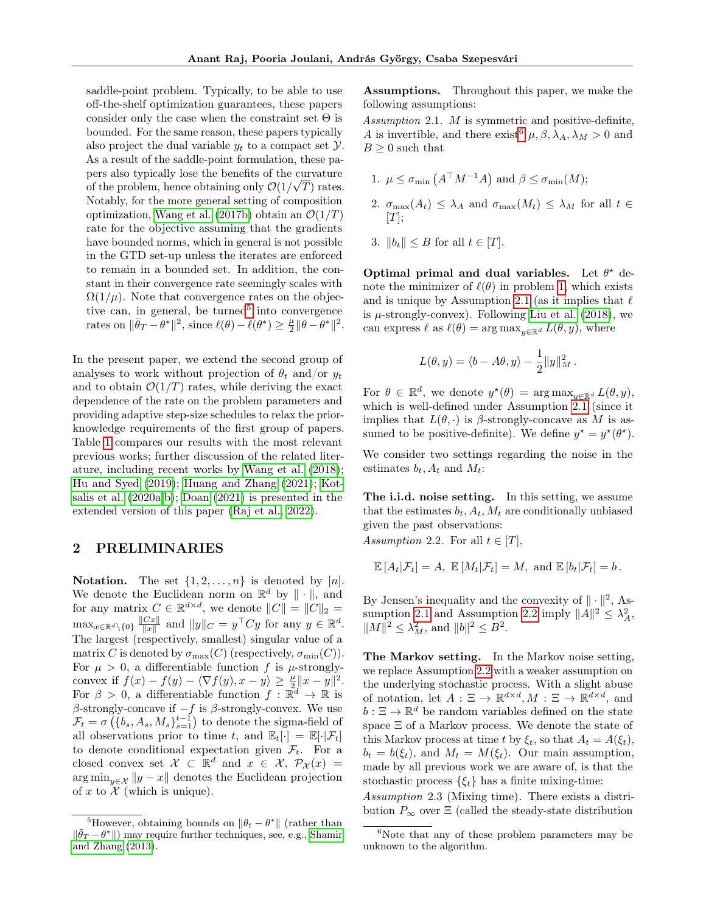saddle-point problem. Typically, to be able to use off-the-shelf optimization guarantees, these papers consider only the case when the constraint set  $\Theta$  is bounded. For the same reason, these papers typically also project the dual variable  $y_t$  to a compact set  $\mathcal{Y}$ . As a result of the saddle-point formulation, these papers also typically lose the benefits of the curvature of the problem, hence obtaining only  $\mathcal{O}(1/\sqrt{T})$  rates. Notably, for the more general setting of composition optimization, [Wang et al.](#page-9-14) [\(2017b\)](#page-9-14) obtain an  $\mathcal{O}(1/T)$ rate for the objective assuming that the gradients have bounded norms, which in general is not possible in the GTD set-up unless the iterates are enforced to remain in a bounded set. In addition, the constant in their convergence rate seemingly scales with  $\Omega(1/\mu)$ . Note that convergence rates on the objec-tive can, in general, be turned<sup>[5](#page-2-1)</sup> into convergence rates on  $\|\bar{\theta}_T - \theta^*\|^2$ , since  $\ell(\theta) - \ell(\theta^*) \geq \frac{\mu}{2} \|\theta - \theta^*\|^2$ .

In the present paper, we extend the second group of analyses to work without projection of  $\theta_t$  and/or  $y_t$ and to obtain  $\mathcal{O}(1/T)$  rates, while deriving the exact dependence of the rate on the problem parameters and providing adaptive step-size schedules to relax the priorknowledge requirements of the first group of papers. Table [1](#page-3-0) compares our results with the most relevant previous works; further discussion of the related literature, including recent works by [Wang et al.](#page-9-15) [\(2018\)](#page-9-15); [Hu and Syed](#page-9-16) [\(2019\)](#page-9-16); [Huang and Zhang](#page-9-17) [\(2021\)](#page-9-17); [Kot](#page-9-18)[salis et al.](#page-9-18) [\(2020a,](#page-9-18)[b\)](#page-9-19); [Doan](#page-8-6) [\(2021\)](#page-8-6) is presented in the extended version of this paper [\(Raj et al., 2022\)](#page-9-10).

### <span id="page-2-0"></span>2 PRELIMINARIES

**Notation.** The set  $\{1, 2, ..., n\}$  is denoted by  $[n]$ . We denote the Euclidean norm on  $\mathbb{R}^d$  by  $\|\cdot\|$ , and for any matrix  $C \in \mathbb{R}^{d \times d}$ , we denote  $||C|| = ||C||_2 =$  $\max_{x \in \mathbb{R}^d \setminus \{0\}} \frac{\|Cx\|}{\|x\|}$  $\frac{Cx\|}{\|x\|}$  and  $\|y\|_C = y^\top C y$  for any  $y \in \mathbb{R}^d$ . The largest (respectively, smallest) singular value of a matrix C is denoted by  $\sigma_{\text{max}}(C)$  (respectively,  $\sigma_{\text{min}}(C)$ ). For  $\mu > 0$ , a differentiable function f is  $\mu$ -stronglyconvex if  $f(x) - f(y) - \langle \nabla f(y), x - y \rangle \ge \frac{\mu}{2} ||x - y||^2$ . For  $\beta > 0$ , a differentiable function  $f : \mathbb{R}^d \to \mathbb{R}$  is β-strongly-concave if  $-f$  is β-strongly-convex. We use  $\mathcal{F}_t = \sigma\left( \{b_s, A_s, M_s\}_{s=1}^{t-1} \right)$  to denote the sigma-field of all observations prior to time t, and  $\mathbb{E}_t[\cdot] = \mathbb{E}[\cdot | \mathcal{F}_t]$ to denote conditional expectation given  $\mathcal{F}_t$ . For a closed convex set  $\mathcal{X} \subset \mathbb{R}^d$  and  $x \in \mathcal{X}, \mathcal{P}_{\mathcal{X}}(x) =$  $\arg \min_{y \in \mathcal{X}} \|y - x\|$  denotes the Euclidean projection of x to  $\mathcal X$  (which is unique).

Assumptions. Throughout this paper, we make the following assumptions:

<span id="page-2-3"></span>Assumption 2.1. M is symmetric and positive-definite, A is invertible, and there exist<sup>[6](#page-2-2)</sup>  $\mu$ ,  $\beta$ ,  $\lambda$ <sub>A</sub>,  $\lambda$ <sub>M</sub> > 0 and  $B \geq 0$  such that

- 1.  $\mu \leq \sigma_{\min} (A^{\top} M^{-1} A)$  and  $\beta \leq \sigma_{\min}(M)$ ;
- 2.  $\sigma_{\max}(A_t) \leq \lambda_A$  and  $\sigma_{\max}(M_t) \leq \lambda_M$  for all  $t \in$  $[T];$
- 3.  $||b_t|| < B$  for all  $t \in [T]$ .

Optimal primal and dual variables. Let  $\theta^*$  denote the minimizer of  $\ell(\theta)$  in problem [1,](#page-0-0) which exists and is unique by Assumption [2.1](#page-2-3) (as it implies that  $\ell$ is  $\mu$ -strongly-convex). Following [Liu et al.](#page-9-6) [\(2018\)](#page-9-6), we can express  $\ell$  as  $\ell(\theta) = \arg \max_{y \in \mathbb{R}^d} L(\theta, y)$ , where

$$
L(\theta, y) = \langle b - A\theta, y \rangle - \frac{1}{2} ||y||_M^2.
$$

For  $\theta \in \mathbb{R}^d$ , we denote  $y^*(\theta) = \arg \max_{y \in \mathbb{R}^d} L(\theta, y)$ , which is well-defined under Assumption  $2.1$  (since it implies that  $L(\theta, \cdot)$  is  $\beta$ -strongly-concave as M is assumed to be positive-definite). We define  $y^* = y^*(\theta^*)$ .

We consider two settings regarding the noise in the estimates  $b_t$ ,  $A_t$  and  $M_t$ :

The i.i.d. noise setting. In this setting, we assume that the estimates  $b_t$ ,  $A_t$ ,  $M_t$  are conditionally unbiased given the past observations:

<span id="page-2-4"></span>Assumption 2.2. For all  $t \in [T]$ ,

$$
\mathbb{E}[A_t|\mathcal{F}_t] = A, \ \mathbb{E}[M_t|\mathcal{F}_t] = M, \text{ and } \mathbb{E}[b_t|\mathcal{F}_t] = b.
$$

By Jensen's inequality and the convexity of  $\|\cdot\|^2$ , As-sumption [2.1](#page-2-3) and Assumption [2.2](#page-2-4) imply  $||A||^2 \leq \lambda_A^2$ ,  $||M||^2 \leq \lambda_M^2$ , and  $||b||^2 \leq B^2$ .

The Markov setting. In the Markov noise setting, we replace Assumption [2.2](#page-2-4) with a weaker assumption on the underlying stochastic process. With a slight abuse of notation, let  $A: \Xi \to \mathbb{R}^{d \times d}$ ,  $M: \Xi \to \mathbb{R}^{d \times d}$ , and  $b: \Xi \to \mathbb{R}^d$  be random variables defined on the state space Ξ of a Markov process. We denote the state of this Markov process at time t by  $\xi_t$ , so that  $A_t = A(\xi_t)$ ,  $b_t = b(\xi_t)$ , and  $M_t = M(\xi_t)$ . Our main assumption, made by all previous work we are aware of, is that the stochastic process  $\{\xi_t\}$  has a finite mixing-time:

<span id="page-2-5"></span>Assumption 2.3 (Mixing time). There exists a distribution  $P_{\infty}$  over  $\Xi$  (called the steady-state distribution

<span id="page-2-1"></span><sup>&</sup>lt;sup>5</sup>However, obtaining bounds on  $\|\theta_t - \theta^*\|$  (rather than  $\|\bar{\theta}_T - \theta^*\|$ ) may require further techniques, see, e.g., [Shamir](#page-9-20) [and Zhang](#page-9-20) [\(2013\)](#page-9-20).

<span id="page-2-2"></span> $6$ Note that any of these problem parameters may be unknown to the algorithm.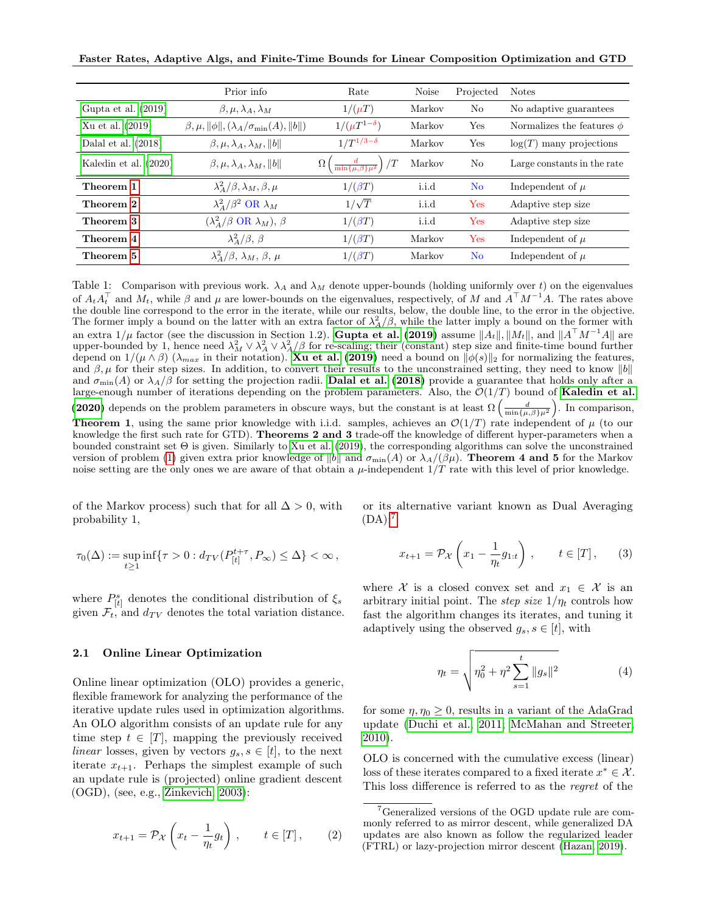Faster Rates, Adaptive Algs, and Finite-Time Bounds for Linear Composition Optimization and GTD

|                         | Prior info                                                  | Rate                                                          | <b>Noise</b> | Projected      | <b>Notes</b>                   |
|-------------------------|-------------------------------------------------------------|---------------------------------------------------------------|--------------|----------------|--------------------------------|
| Gupta et al. $(2019)$   | $\beta, \mu, \lambda_A, \lambda_M$                          | $1/(\mu T)$                                                   | Markov       | No             | No adaptive guarantees         |
| Xu et al. (2019)        | $\beta, \mu, \ \phi\ , (\lambda_A/\sigma_{\min}(A), \ b\ )$ | $1/(\mu T^{1-\delta})$                                        | Markov       | Yes            | Normalizes the features $\phi$ |
| Dalal et al. $(2018)$   | $\beta, \mu, \lambda_A, \lambda_M,   b  $                   | $1/T^{1/3-\delta}$                                            | Markov       | Yes            | $log(T)$ many projections      |
| Kaledin et al. $(2020)$ | $\beta, \mu, \lambda_A, \lambda_M,   b  $                   | $\left(\frac{d}{\min\{\mu,\beta\}\mu^2}\right)/T$<br>$\Omega$ | Markov       | N <sub>o</sub> | Large constants in the rate    |
| Theorem 1               | $\lambda_A^2/\beta, \lambda_M, \beta, \mu$                  | $1/(\beta T)$                                                 | i.i.d        | N <sub>o</sub> | Independent of $\mu$           |
| Theorem 2               | $\lambda_A^2/\beta^2$ OR $\lambda_M$                        | $1/\sqrt{T}$                                                  | i.i.d        | Yes            | Adaptive step size             |
| Theorem 3               | $(\lambda_A^2/\beta \text{ OR } \lambda_M), \beta$          | $1/(\beta T)$                                                 | i.i.d        | Yes            | Adaptive step size             |
| Theorem 4               | $\lambda_A^2/\beta, \beta$                                  | $1/(\beta T)$                                                 | Markov       | Yes            | Independent of $\mu$           |
| Theorem 5               | $\lambda^2_A/\beta$ , $\lambda_M$ , $\beta$ , $\mu$         | $1/(\beta T)$                                                 | Markov       | N <sub>o</sub> | Independent of $\mu$           |

<span id="page-3-0"></span>Table 1: Comparison with previous work.  $\lambda_A$  and  $\lambda_M$  denote upper-bounds (holding uniformly over t) on the eigenvalues of  $A_t A_t^{\top}$  and  $M_t$ , while  $\beta$  and  $\mu$  are lower-bounds on the eigenvalues, respectively, of M and  $A^{\top} M^{-1} A$ . The rates above the double line correspond to the error in the iterate, while our results, below, the double line, to the error in the objective. The former imply a bound on the latter with an extra factor of  $\lambda_A^2/\beta$ , while the latter imply a bound on the former with an extra 1/ $\mu$  factor (see the discussion in Section 1.2). [Gupta et al.](#page-9-11) [\(2019\)](#page-9-11) assume  $\|A_t\|, \|M_t\|$ , and  $\|A^\top M^{-1}A\|$  are upper-bounded by 1, hence need  $\lambda_M^2 \vee \lambda_A^2 / \beta$  for re-scaling; their (constant) step size and finite-time bound further depend on  $1/(\mu \wedge \beta)$  ( $\lambda_{max}$  in their notation). **[Xu et al.](#page-9-13) [\(2019\)](#page-9-13)** need a bound on  $\|\phi(s)\|_2$  for normalizing the features, and  $\beta, \mu$  for their step sizes. In addition, to convert their results to the unconstrained setting, they need to know  $||b||$ and  $\sigma_{\min}(A)$  or  $\lambda_A/\beta$  for setting the projection radii. **[Dalal et al.](#page-8-4) [\(2018\)](#page-8-4)** provide a guarantee that holds only after a large-enough number of iterations depending on the problem parameters. Also, the  $\mathcal{O}(1/T)$  bound of [Kaledin et al.](#page-9-12) [\(2020\)](#page-9-12) depends on the problem parameters in obscure ways, but the constant is at least  $\Omega\left(\frac{d}{\min\{\mu,\beta\}\mu^2}\right)$ . In comparison, **Theorem 1**, using the same prior knowledge with i.i.d. samples, achieves an  $\mathcal{O}(1/T)$  rate independent of  $\mu$  (to our knowledge the first such rate for GTD). **Theorems 2 and 3** trade-off the knowledge of different hyper-parameters when a bounded constraint set  $\Theta$  is given. Similarly to [Xu et al.](#page-9-13) [\(2019\)](#page-9-13), the corresponding algorithms can solve the unconstrained version of problem [\(1\)](#page-0-0) given extra prior knowledge of  $||b||$  and  $\sigma_{\min}(A)$  or  $\lambda_A/(\beta\mu)$ . Theorem 4 and 5 for the Markov noise setting are the only ones we are aware of that obtain a  $\mu$ -independent  $1/T$  rate with this level of prior knowledge.

of the Markov process) such that for all  $\Delta > 0$ , with probability 1,

$$
\tau_0(\Delta):=\sup_{t\geq 1}\inf\{\tau>0:d_{TV}(P^{t+\tau}_{[t]},P_\infty)\leq \Delta\}<\infty\,,
$$

where  $P_{[t]}^s$  denotes the conditional distribution of  $\xi_s$ given  $\mathcal{F}_t$ , and  $d_{TV}$  denotes the total variation distance.

#### <span id="page-3-3"></span>2.1 Online Linear Optimization

Online linear optimization (OLO) provides a generic, flexible framework for analyzing the performance of the iterative update rules used in optimization algorithms. An OLO algorithm consists of an update rule for any time step  $t \in [T]$ , mapping the previously received linear losses, given by vectors  $g_s, s \in [t]$ , to the next iterate  $x_{t+1}$ . Perhaps the simplest example of such an update rule is (projected) online gradient descent (OGD), (see, e.g., [Zinkevich, 2003\)](#page-10-0):

$$
x_{t+1} = \mathcal{P}_{\mathcal{X}}\left(x_t - \frac{1}{\eta_t}g_t\right), \qquad t \in [T], \qquad (2)
$$

or its alternative variant known as Dual Averaging  $(DA)$ :<sup>[7](#page-3-1)</sup>

$$
x_{t+1} = \mathcal{P}_{\mathcal{X}}\left(x_1 - \frac{1}{\eta_t}g_{1:t}\right), \qquad t \in [T], \qquad (3)
$$

where X is a closed convex set and  $x_1 \in \mathcal{X}$  is an arbitrary initial point. The step size  $1/\eta_t$  controls how fast the algorithm changes its iterates, and tuning it adaptively using the observed  $g_s, s \in [t]$ , with

<span id="page-3-2"></span>
$$
\eta_t = \sqrt{\eta_0^2 + \eta^2 \sum_{s=1}^t \|g_s\|^2}
$$
 (4)

for some  $\eta, \eta_0 \geq 0$ , results in a variant of the AdaGrad update [\(Duchi et al., 2011;](#page-8-0) [McMahan and Streeter,](#page-9-5) [2010\)](#page-9-5).

OLO is concerned with the cumulative excess (linear) loss of these iterates compared to a fixed iterate  $x^* \in \mathcal{X}$ . This loss difference is referred to as the regret of the

<span id="page-3-1"></span><sup>7</sup>Generalized versions of the OGD update rule are commonly referred to as mirror descent, while generalized DA updates are also known as follow the regularized leader (FTRL) or lazy-projection mirror descent [\(Hazan, 2019\)](#page-9-21).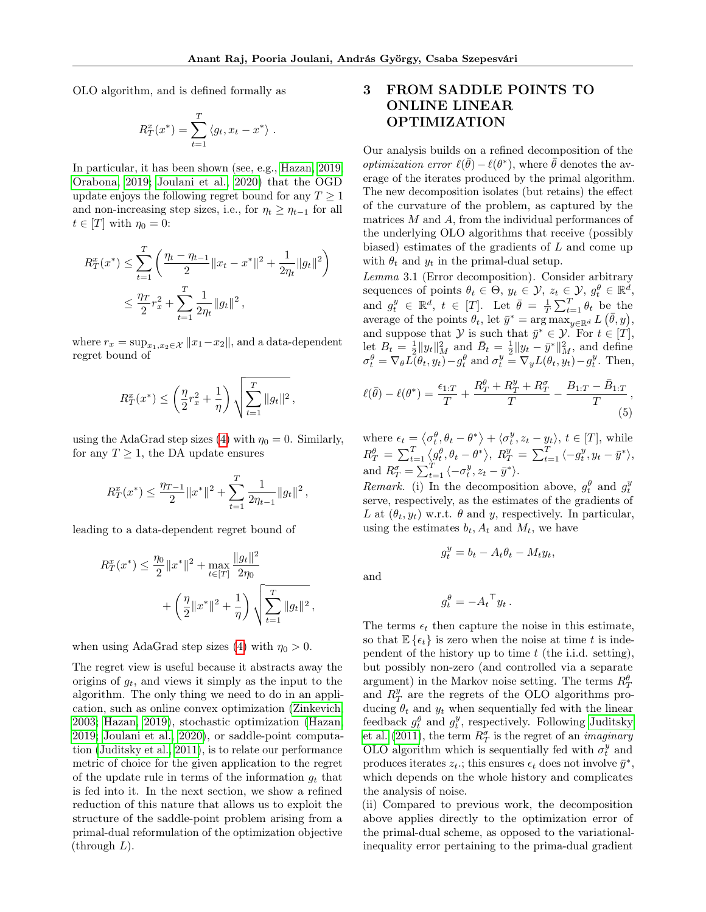OLO algorithm, and is defined formally as

$$
R_T^x(x^*) = \sum_{t=1}^T \langle g_t, x_t - x^* \rangle.
$$

In particular, it has been shown (see, e.g., [Hazan, 2019;](#page-9-21) [Orabona, 2019;](#page-9-22) [Joulani et al., 2020\)](#page-9-23) that the OGD update enjoys the following regret bound for any  $T \geq 1$ and non-increasing step sizes, i.e., for  $\eta_t \geq \eta_{t-1}$  for all  $t \in [T]$  with  $\eta_0 = 0$ :

$$
R_T^x(x^*) \le \sum_{t=1}^T \left( \frac{\eta_t - \eta_{t-1}}{2} \|x_t - x^*\|^2 + \frac{1}{2\eta_t} \|g_t\|^2 \right)
$$
  

$$
\le \frac{\eta_T}{2} r_x^2 + \sum_{t=1}^T \frac{1}{2\eta_t} \|g_t\|^2,
$$

where  $r_x = \sup_{x_1, x_2 \in \mathcal{X}} ||x_1 - x_2||$ , and a data-dependent regret bound of

$$
R_T^x(x^*) \le \left(\frac{\eta}{2}r_x^2 + \frac{1}{\eta}\right) \sqrt{\sum_{t=1}^T \|g_t\|^2} \,,
$$

using the AdaGrad step sizes [\(4\)](#page-3-2) with  $\eta_0 = 0$ . Similarly, for any  $T \geq 1$ , the DA update ensures

$$
R_T^x(x^*) \le \frac{\eta_{T-1}}{2} \|x^*\|^2 + \sum_{t=1}^T \frac{1}{2\eta_{t-1}} \|g_t\|^2,
$$

leading to a data-dependent regret bound of

$$
R_T^x(x^*) \le \frac{\eta_0}{2} \|x^*\|^2 + \max_{t \in [T]} \frac{\|g_t\|^2}{2\eta_0} + \left(\frac{\eta}{2} \|x^*\|^2 + \frac{1}{\eta}\right) \sqrt{\sum_{t=1}^T \|g_t\|^2},
$$

when using AdaGrad step sizes [\(4\)](#page-3-2) with  $\eta_0 > 0$ .

The regret view is useful because it abstracts away the origins of  $g_t$ , and views it simply as the input to the algorithm. The only thing we need to do in an application, such as online convex optimization [\(Zinkevich,](#page-10-0) [2003;](#page-10-0) [Hazan, 2019\)](#page-9-21), stochastic optimization [\(Hazan,](#page-9-21) [2019;](#page-9-21) [Joulani et al., 2020\)](#page-9-23), or saddle-point computation [\(Juditsky et al., 2011\)](#page-9-24), is to relate our performance metric of choice for the given application to the regret of the update rule in terms of the information  $q_t$  that is fed into it. In the next section, we show a refined reduction of this nature that allows us to exploit the structure of the saddle-point problem arising from a primal-dual reformulation of the optimization objective  $(through L).$ 

## 3 FROM SADDLE POINTS TO ONLINE LINEAR OPTIMIZATION

Our analysis builds on a refined decomposition of the *optimization error*  $\ell(\bar{\theta}) - \ell(\theta^*)$ , where  $\bar{\theta}$  denotes the average of the iterates produced by the primal algorithm. The new decomposition isolates (but retains) the effect of the curvature of the problem, as captured by the matrices M and A, from the individual performances of the underlying OLO algorithms that receive (possibly biased) estimates of the gradients of  $L$  and come up with  $\theta_t$  and  $y_t$  in the primal-dual setup.

<span id="page-4-1"></span>Lemma 3.1 (Error decomposition). Consider arbitrary sequences of points  $\theta_t \in \Theta$ ,  $y_t \in \mathcal{Y}$ ,  $z_t \in \mathcal{Y}$ ,  $g_t^{\theta} \in \mathbb{R}^{\tilde{d}}$ , and  $g_t^y \in \mathbb{R}^d$ ,  $t \in [T]$ . Let  $\bar{\theta} = \frac{1}{T} \sum_{t=1}^T \theta_t$  be the average of the points  $\theta_t$ , let  $\bar{y}^* = \arg \max_{y \in \mathbb{R}^d} L(\bar{\theta}, y)$ , and suppose that  $\mathcal{Y}$  is such that  $\bar{y}^* \in \mathcal{Y}$ . For  $t \in [T]$ , let  $B_t = \frac{1}{2} ||y_t||_M^2$  and  $\bar{B}_t = \frac{1}{2} ||y_t - \bar{y}^*||_M^2$ , and define  $\sigma_t^{\theta} = \nabla_{\theta} L(\theta_t, y_t) - g_t^{\theta}$  and  $\sigma_t^y = \nabla_y L(\theta_t, y_t) - g_t^y$ . Then,

$$
\ell(\bar{\theta}) - \ell(\theta^*) = \frac{\epsilon_{1:T}}{T} + \frac{R_T^{\theta} + R_T^y + R_T^{\sigma}}{T} - \frac{B_{1:T} - \bar{B}_{1:T}}{T},
$$
\n(5)

where  $\epsilon_t = \langle \sigma_t^{\theta}, \theta_t - \theta^* \rangle + \langle \sigma_t^y, z_t - y_t \rangle, t \in [T],$  while  $R_T^\theta = \sum_{t=1}^T \langle g_t^\theta, \theta_t - \theta^* \rangle, R_T^y = \sum_{t=1}^T \langle -g_t^y, y_t - \bar{y}^* \rangle,$ and  $R_T^{\sigma} = \sum_{t=1}^T \langle -\sigma_t^y, z_t - \bar{y}^* \rangle$ .

Remark. (i) In the decomposition above,  $g_t^{\theta}$  and  $g_t^y$ serve, respectively, as the estimates of the gradients of L at  $(\theta_t, y_t)$  w.r.t.  $\theta$  and y, respectively. In particular, using the estimates  $b_t$ ,  $A_t$  and  $M_t$ , we have

<span id="page-4-0"></span> $g_t^y = b_t - A_t \theta_t - M_t y_t,$ 

and

$$
g_t^{\theta} = -A_t{}^{\top} y_t.
$$

The terms  $\epsilon_t$  then capture the noise in this estimate, so that  $\mathbb{E}\left\{\epsilon_t\right\}$  is zero when the noise at time t is independent of the history up to time  $t$  (the i.i.d. setting), but possibly non-zero (and controlled via a separate argument) in the Markov noise setting. The terms  $R_{T}^{\theta}$ and  $R_T^y$  are the regrets of the OLO algorithms producing  $\theta_t$  and  $y_t$  when sequentially fed with the linear feedback  $g_t^{\theta}$  and  $g_t^y$ , respectively. Following [Juditsky](#page-9-24) [et al.](#page-9-24) [\(2011\)](#page-9-24), the term  $R^{\sigma}_{T}$  is the regret of an *imaginary* OLO algorithm which is sequentially fed with  $\sigma_t^y$  and produces iterates  $z_t$ .; this ensures  $\epsilon_t$  does not involve  $\bar{y}^*$ , which depends on the whole history and complicates the analysis of noise.

(ii) Compared to previous work, the decomposition above applies directly to the optimization error of the primal-dual scheme, as opposed to the variationalinequality error pertaining to the prima-dual gradient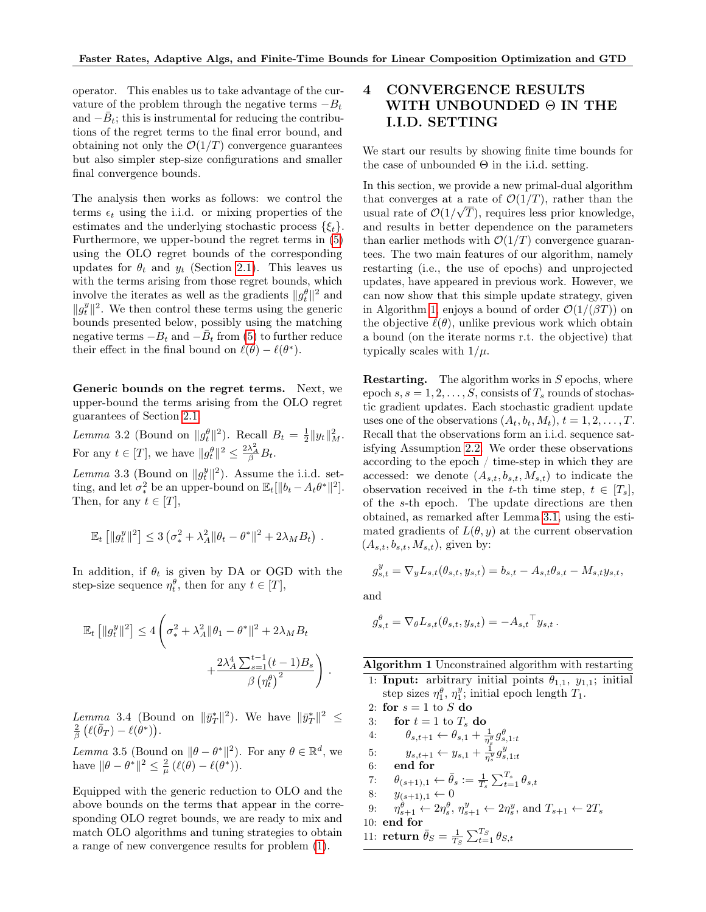operator. This enables us to take advantage of the curvature of the problem through the negative terms  $-B_t$ and  $-\bar{B}_t$ ; this is instrumental for reducing the contributions of the regret terms to the final error bound, and obtaining not only the  $\mathcal{O}(1/T)$  convergence guarantees but also simpler step-size configurations and smaller final convergence bounds.

The analysis then works as follows: we control the terms  $\epsilon_t$  using the i.i.d. or mixing properties of the estimates and the underlying stochastic process  $\{\xi_t\}.$ Furthermore, we upper-bound the regret terms in [\(5\)](#page-4-0) using the OLO regret bounds of the corresponding updates for  $\theta_t$  and  $y_t$  (Section [2.1\)](#page-3-3). This leaves us with the terms arising from those regret bounds, which involve the iterates as well as the gradients  $||g_t^{\theta}||^2$  and  $||g_t^y||^2$ . We then control these terms using the generic bounds presented below, possibly using the matching negative terms  $-B_t$  and  $-\overline{B}_t$  from [\(5\)](#page-4-0) to further reduce their effect in the final bound on  $\ell(\vec{\theta}) - \ell(\theta^*)$ .

Generic bounds on the regret terms. Next, we upper-bound the terms arising from the OLO regret guarantees of Section [2.1.](#page-3-3)

<span id="page-5-6"></span>*Lemma* 3.2 (Bound on  $||g_t^{\theta}||^2$ ). Recall  $B_t = \frac{1}{2}||y_t||_M^2$ . For any  $t \in [T]$ , we have  $||g_t^{\theta}||^2 \le \frac{2\lambda_A^2}{\beta}B_t$ .

<span id="page-5-7"></span>Lemma 3.3 (Bound on  $||g_t^y||^2$ ). Assume the i.i.d. setting, and let  $\sigma_*^2$  be an upper-bound on  $\mathbb{E}_t[\|b_t - A_t \theta^*\|^2].$ Then, for any  $t \in [T]$ ,

$$
\mathbb{E}_t [||g_t^y||^2] \leq 3 (\sigma_*^2 + \lambda_A^2 ||\theta_t - \theta^*||^2 + 2\lambda_M B_t).
$$

In addition, if  $\theta_t$  is given by DA or OGD with the step-size sequence  $\eta_t^{\theta}$ , then for any  $t \in [T]$ ,

$$
\mathbb{E}_{t} [||g_{t}^{y}||^{2}] \le 4 \left( \sigma_{*}^{2} + \lambda_{A}^{2} ||\theta_{1} - \theta^{*}||^{2} + 2\lambda_{M} B_{t} + \frac{2\lambda_{A}^{4} \sum_{s=1}^{t-1} (t-1)B_{s}}{\beta (\eta_{t}^{\theta})^{2}} \right).
$$

<span id="page-5-8"></span>Lemma 3.4 (Bound on  $\|\bar{y}_T^*\|^2$ ). We have  $\|\bar{y}_T^*\|^2 \leq$  $\frac{2}{\beta}\left(\ell(\bar{\theta}_T) - \ell(\stackrel{\cdot}{\theta^*})\right).$ 

<span id="page-5-9"></span>Lemma 3.5 (Bound on  $\|\theta - \theta^*\|^2$ ). For any  $\theta \in \mathbb{R}^d$ , we have  $\|\theta - \theta^*\|^2 \leq \frac{2}{\mu} \left(\ell(\theta) - \ell(\theta^*)\right).$ 

Equipped with the generic reduction to OLO and the above bounds on the terms that appear in the corresponding OLO regret bounds, we are ready to mix and match OLO algorithms and tuning strategies to obtain a range of new convergence results for problem [\(1\)](#page-0-0).

## 4 CONVERGENCE RESULTS WITH UNBOUNDED Θ IN THE I.I.D. SETTING

We start our results by showing finite time bounds for the case of unbounded  $\Theta$  in the i.i.d. setting.

In this section, we provide a new primal-dual algorithm that converges at a rate of  $\mathcal{O}(1/T)$ , rather than the usual rate of  $\mathcal{O}(1/\sqrt{T})$ , requires less prior knowledge, and results in better dependence on the parameters than earlier methods with  $\mathcal{O}(1/T)$  convergence guarantees. The two main features of our algorithm, namely restarting (i.e., the use of epochs) and unprojected updates, have appeared in previous work. However, we can now show that this simple update strategy, given in Algorithm [1,](#page-5-0) enjoys a bound of order  $\mathcal{O}(1/(\beta T))$  on the objective  $\ell(\theta)$ , unlike previous work which obtain a bound (on the iterate norms r.t. the objective) that typically scales with  $1/\mu$ .

**Restarting.** The algorithm works in  $S$  epochs, where epoch  $s, s = 1, 2, \ldots, S$ , consists of  $T_s$  rounds of stochastic gradient updates. Each stochastic gradient update uses one of the observations  $(A_t, b_t, M_t), t = 1, 2, \ldots, T$ . Recall that the observations form an i.i.d. sequence satisfying Assumption [2.2.](#page-2-4) We order these observations according to the epoch / time-step in which they are accessed: we denote  $(A_{s,t}, b_{s,t}, M_{s,t})$  to indicate the observation received in the t-th time step,  $t \in [T_s]$ , of the s-th epoch. The update directions are then obtained, as remarked after Lemma [3.1,](#page-4-1) using the estimated gradients of  $L(\theta, y)$  at the current observation  $(A_{s,t}, b_{s,t}, M_{s,t})$ , given by:

$$
g_{s,t}^y = \nabla_y L_{s,t}(\theta_{s,t}, y_{s,t}) = b_{s,t} - A_{s,t}\theta_{s,t} - M_{s,t}y_{s,t},
$$

and

$$
g_{s,t}^{\theta} = \nabla_{\theta} L_{s,t}(\theta_{s,t}, y_{s,t}) = -A_{s,t}^{\mathsf{T}} y_{s,t}.
$$

Algorithm 1 Unconstrained algorithm with restarting 1: **Input:** arbitrary initial points  $\theta_{1,1}$ ,  $y_{1,1}$ ; initial step sizes  $\eta_1^{\theta}$ ,  $\eta_1^y$ ; initial epoch length  $T_1$ .

2: for  $s = 1$  to  $S$  do

- 3: for  $t = 1$  to  $T_s$  do
- <span id="page-5-1"></span>4:  $\theta_{s,t+1} \leftarrow \theta_{s,1} + \frac{1}{\eta_s^{\theta}} g_{s,1:t}^{\theta}$
- <span id="page-5-4"></span><span id="page-5-3"></span><span id="page-5-2"></span>5:  $y_{s,t+1} \leftarrow y_{s,1} + \frac{1}{\eta_s^y} g_{s,1:t}^y$
- 6: end for
- 7:  $\theta_{(s+1),1} \leftarrow \bar{\theta}_s := \frac{1}{T_s} \sum_{t=1}^{T_s} \theta_{s,t}$
- <span id="page-5-5"></span>8:  $y_{(s+1),1} \leftarrow 0$
- 9:  $\eta_{s+1}^{\theta} \leftarrow 2\eta_s^{\theta}, \eta_{s+1}^y \leftarrow 2\eta_s^y$ , and  $T_{s+1} \leftarrow 2T_s$
- 10: end for
- <span id="page-5-0"></span>11: return  $\bar{\theta}_S = \frac{1}{T_S} \sum_{t=1}^{T_S} \theta_{S,t}$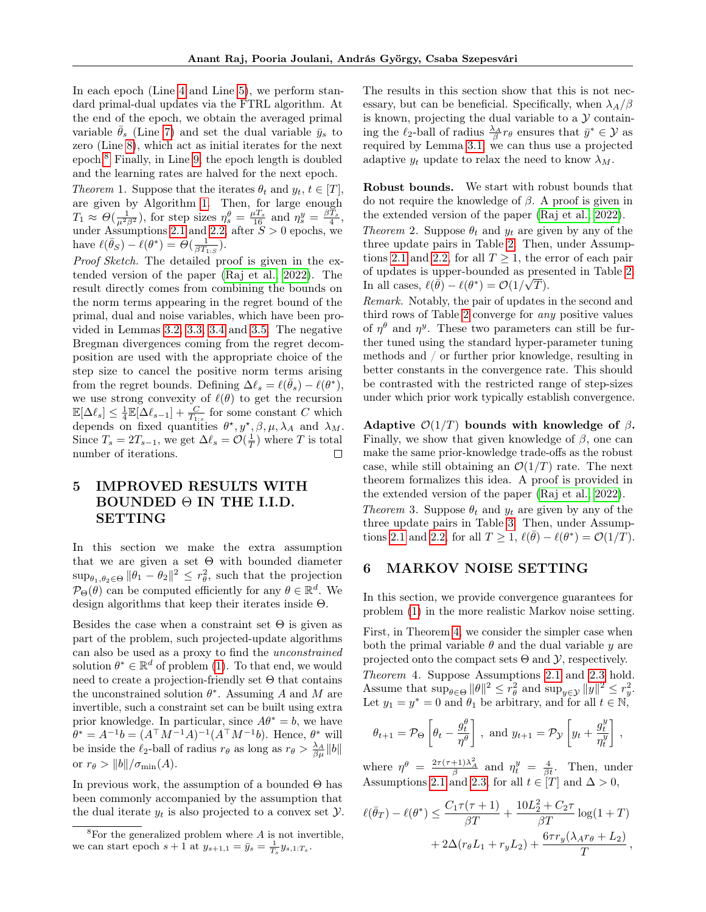In each epoch (Line [4](#page-5-1) and Line [5\)](#page-5-2), we perform standard primal-dual updates via the FTRL algorithm. At the end of the epoch, we obtain the averaged primal variable  $\bar{\theta}_s$  (Line [7\)](#page-5-3) and set the dual variable  $\bar{y}_s$  to zero (Line [8\)](#page-5-4), which act as initial iterates for the next epoch.[8](#page-6-4) Finally, in Line [9,](#page-5-5) the epoch length is doubled and the learning rates are halved for the next epoch.

<span id="page-6-2"></span>Theorem 1. Suppose that the iterates  $\theta_t$  and  $y_t, t \in [T]$ , are given by Algorithm [1.](#page-5-0) Then, for large enough  $T_1 \approx \Theta(\frac{1}{\mu^2 \beta^2})$ , for step sizes  $\eta_s^{\theta} = \frac{\mu T_s}{16}$  and  $\eta_s^y = \frac{\beta \hat{T}_s}{4}$ , under Assumptions [2.1](#page-2-3) and [2.2,](#page-2-4) after  $S > 0$  epochs, we have  $\ell(\bar{\theta}_S) - \ell(\theta^*) = \Theta(\frac{1}{\beta T_{1:S}})$ .

Proof Sketch. The detailed proof is given in the extended version of the paper [\(Raj et al., 2022\)](#page-9-10). The result directly comes from combining the bounds on the norm terms appearing in the regret bound of the primal, dual and noise variables, which have been provided in Lemmas [3.2,](#page-5-6) [3.3,](#page-5-7) [3.4](#page-5-8) and [3.5.](#page-5-9) The negative Bregman divergences coming from the regret decomposition are used with the appropriate choice of the step size to cancel the positive norm terms arising from the regret bounds. Defining  $\Delta \ell_s = \ell(\bar{\theta}_s) - \ell(\theta^*),$ we use strong convexity of  $\ell(\theta)$  to get the recursion  $\mathbb{E}[\Delta \ell_s] \leq \frac{1}{4} \mathbb{E}[\Delta \ell_{s-1}] + \frac{C}{T_{1:s}}$  for some constant C which depends on fixed quantities  $\theta^*, y^*, \beta, \mu, \lambda_A$  and  $\lambda_M$ . Since  $T_s = 2T_{s-1}$ , we get  $\Delta \ell_s = \mathcal{O}(\frac{1}{T})$  where T is total number of iterations. П

## 5 IMPROVED RESULTS WITH  $BOUNDED \Theta$  IN THE I.I.D. SETTING

In this section we make the extra assumption that we are given a set  $\Theta$  with bounded diameter  $\sup_{\theta_1, \theta_2 \in \Theta} \|\theta_1 - \theta_2\|^2 \leq r_\theta^2$ , such that the projection  $\mathcal{P}_{\Theta}(\theta)$  can be computed efficiently for any  $\theta \in \mathbb{R}^d$ . We design algorithms that keep their iterates inside Θ.

Besides the case when a constraint set  $\Theta$  is given as part of the problem, such projected-update algorithms can also be used as a proxy to find the unconstrained solution  $\theta^* \in \mathbb{R}^d$  of problem [\(1\)](#page-0-0). To that end, we would need to create a projection-friendly set  $\Theta$  that contains the unconstrained solution  $\theta^*$ . Assuming A and M are invertible, such a constraint set can be built using extra prior knowledge. In particular, since  $A\theta^* = b$ , we have  $\theta^* = A^{-1}b = (A^{\top}M^{-1}A)^{-1}(A^{\top}M^{-1}b)$ . Hence,  $\theta^*$  will be inside the  $\ell_2$ -ball of radius  $r_\theta$  as long as  $r_\theta > \frac{\lambda_A}{\beta \mu} ||b||$ or  $r_{\theta} > ||b|| / \sigma_{\min}(A)$ .

In previous work, the assumption of a bounded  $\Theta$  has been commonly accompanied by the assumption that the dual iterate  $y_t$  is also projected to a convex set  $\mathcal{Y}$ . The results in this section show that this is not necessary, but can be beneficial. Specifically, when  $\lambda_A/\beta$ is known, projecting the dual variable to a  $\mathcal Y$  containing the  $\ell_2$ -ball of radius  $\frac{\lambda_A}{\beta} r_\theta$  ensures that  $\bar{y}^* \in \mathcal{Y}$  as required by Lemma [3.1;](#page-4-1) we can thus use a projected adaptive  $y_t$  update to relax the need to know  $\lambda_M$ .

Robust bounds. We start with robust bounds that do not require the knowledge of β. A proof is given in the extended version of the paper [\(Raj et al., 2022\)](#page-9-10).

<span id="page-6-0"></span>Theorem 2. Suppose  $\theta_t$  and  $y_t$  are given by any of the three update pairs in Table [2.](#page-7-2) Then, under Assump-tions [2.1](#page-2-3) and [2.2,](#page-2-4) for all  $T \geq 1$ , the error of each pair of updates is upper-bounded as presented in Table [2.](#page-7-2) In all cases,  $\ell(\bar{\theta}) - \ell(\theta^*) = \mathcal{O}(1/\sqrt{T}).$ 

Remark. Notably, the pair of updates in the second and third rows of Table [2](#page-7-2) converge for any positive values of  $\eta^{\theta}$  and  $\eta^y$ . These two parameters can still be further tuned using the standard hyper-parameter tuning methods and / or further prior knowledge, resulting in better constants in the convergence rate. This should be contrasted with the restricted range of step-sizes under which prior work typically establish convergence.

Adaptive  $\mathcal{O}(1/T)$  bounds with knowledge of  $\beta$ . Finally, we show that given knowledge of  $\beta$ , one can make the same prior-knowledge trade-offs as the robust case, while still obtaining an  $\mathcal{O}(1/T)$  rate. The next theorem formalizes this idea. A proof is provided in the extended version of the paper [\(Raj et al., 2022\)](#page-9-10).

<span id="page-6-1"></span>Theorem 3. Suppose  $\theta_t$  and  $y_t$  are given by any of the three update pairs in Table [3.](#page-7-3) Then, under Assump-tions [2.1](#page-2-3) and [2.2,](#page-2-4) for all  $T \geq 1$ ,  $\ell(\bar{\theta}) - \ell(\theta^*) = \mathcal{O}(1/\bar{T})$ .

### 6 MARKOV NOISE SETTING

In this section, we provide convergence guarantees for problem [\(1\)](#page-0-0) in the more realistic Markov noise setting.

<span id="page-6-3"></span>First, in Theorem [4,](#page-6-3) we consider the simpler case when both the primal variable  $\theta$  and the dual variable y are projected onto the compact sets  $\Theta$  and  $\mathcal{Y}$ , respectively. Theorem 4. Suppose Assumptions [2.1](#page-2-3) and [2.3](#page-2-5) hold. Assume that  $\sup_{\theta \in \Theta} ||\theta||^2 \leq r_{\theta}^2$  and  $\sup_{y \in \mathcal{Y}} ||y||^2 \leq r_y^2$ . Let  $y_1 = y^* = 0$  and  $\theta_1$  be arbitrary, and for all  $t \in \mathbb{N}$ ,

$$
\theta_{t+1} = \mathcal{P}_{\Theta} \left[ \theta_t - \frac{g_t^{\theta}}{\eta^{\theta}} \right],
$$
 and  $y_{t+1} = \mathcal{P}_{\mathcal{Y}} \left[ y_t + \frac{g_t^y}{\eta_t^y} \right],$ 

where  $\eta^{\theta} = \frac{2\tau(\tau+1)\lambda_A^2}{\beta}$  and  $\eta_t^y = \frac{4}{\beta t}$ . Then, under Assumptions [2.1](#page-2-3) and [2.3,](#page-2-5) for all  $t \in [T]$  and  $\Delta > 0$ ,

$$
\ell(\bar{\theta}_T) - \ell(\theta^*) \le \frac{C_1 \tau(\tau + 1)}{\beta T} + \frac{10L_2^2 + C_2 \tau}{\beta T} \log(1 + T)
$$

$$
+ 2\Delta(r_{\theta}L_1 + r_y L_2) + \frac{6\tau r_y(\lambda_A r_{\theta} + L_2)}{T},
$$

<span id="page-6-4"></span> ${}^{8}$ For the generalized problem where  $A$  is not invertible, we can start epoch  $s+1$  at  $y_{s+1,1} = \bar{y}_s = \frac{1}{T_s} y_{s,1:T_s}$ .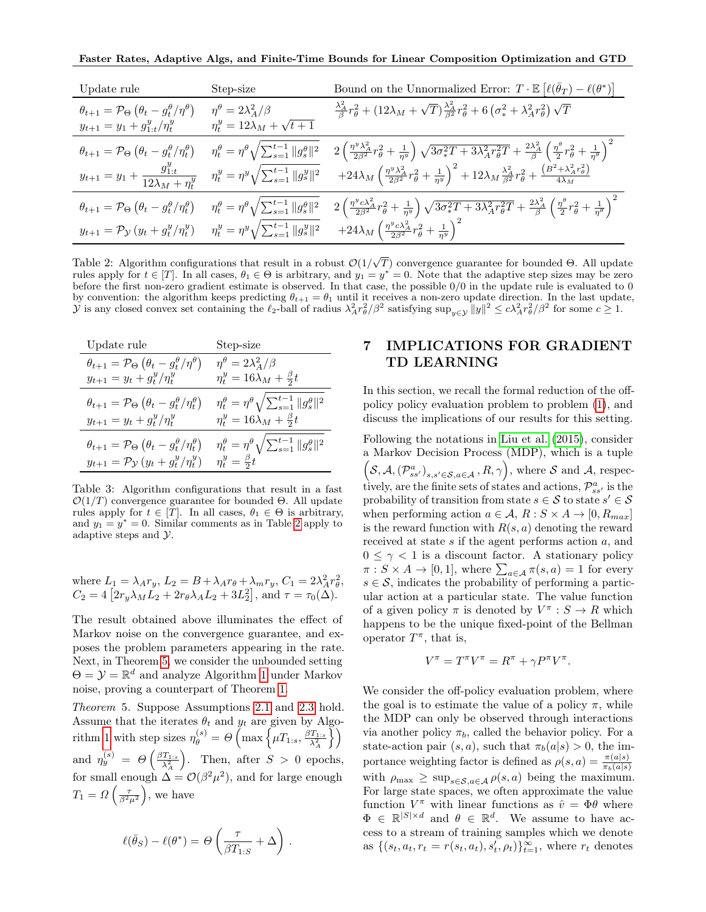Faster Rates, Adaptive Algs, and Finite-Time Bounds for Linear Composition Optimization and GTD

| Update rule                                                                                                                                                                 | Step-size                                | Bound on the Unnormalized Error: $T \cdot \mathbb{E} \left[ \ell(\bar{\theta}_T) - \ell(\theta^*) \right]$                                                                                                                                                       |
|-----------------------------------------------------------------------------------------------------------------------------------------------------------------------------|------------------------------------------|------------------------------------------------------------------------------------------------------------------------------------------------------------------------------------------------------------------------------------------------------------------|
| $\theta_{t+1} = \mathcal{P}_{\Theta} \left( \theta_t - g_t^{\theta} / \eta^{\theta} \right)$                                                                                | $\eta^{\theta} = 2\lambda_{A}^{2}/\beta$ | $\frac{\lambda_A^2}{\beta}r_\theta^2 + (12\lambda_M + \sqrt{T})\frac{\lambda_A^2}{\beta^2}r_\theta^2 + 6\left(\sigma_*^2 + \lambda_A^2r_\theta^2\right)\sqrt{T}$                                                                                                 |
| $y_{t+1} = y_1 + g_{1:t}^y/\eta_t^y$                                                                                                                                        | $\eta_t^y = 12\lambda_M + \sqrt{t+1}$    |                                                                                                                                                                                                                                                                  |
| $\theta_{t+1} = \mathcal{P}_{\Theta}(\theta_t - g_t^{\theta}/\eta_t^{\theta})$ $\eta_t^{\theta} = \eta^{\theta} \sqrt{\sum_{s=1}^{t-1}   g_s^{\theta}  ^2}$                 |                                          | $2\left(\frac{\eta^y\lambda_A^2}{2\beta^2}r_\theta^2+\frac{1}{\eta^y}\right)\sqrt{3\sigma_*^2T+3\lambda_A^2r_\theta^2T}+\frac{2\lambda_A^2}{\beta}\left(\frac{\eta^\theta}{2}r_\theta^2+\frac{1}{\eta^\theta}\right)^2$                                          |
| $y_{t+1} = y_1 + \frac{g_{1:t}^y}{12\lambda_M + \eta_t^y}$ $\eta_t^y = \eta_y^y \sqrt{\sum_{s=1}^{t-1}   g_s^y  ^2}$                                                        |                                          | $+24\lambda_M\left(\tfrac{\eta^y\lambda_A^2}{2\beta^2}r_\theta^2+\tfrac{1}{\eta^y}\right)^2+12\lambda_M\tfrac{\lambda_A^2}{\beta^2}r_\theta^2+\tfrac{\left(B^2+\lambda_A^2r_\theta^2\right)}{4\lambda_M}$                                                        |
| $\theta_{t+1} = \mathcal{P}_{\Theta} \left( \theta_t - g_t^{\theta} / \eta_t^{\theta} \right)$ $\eta_t^{\theta} = \eta^{\theta} \sqrt{\sum_{s=1}^{t-1} \ g_s^{\theta}\ ^2}$ |                                          | $2\left(\frac{\eta^{y}c\lambda^{2}_{A}}{2\beta^{2}}r_{\theta}^{2}+\frac{1}{\eta^{y}}\right)\sqrt{3\sigma^{2}_{*}T+3\lambda^{2}_{A}r_{\theta}^{2}T}+\frac{2\lambda^{2}_{A}}{\beta}\left(\frac{\eta^{\theta}}{2}r_{\theta}^{2}+\frac{1}{\eta^{\theta}}\right)^{2}$ |
| $y_{t+1} = \mathcal{P}_{\mathcal{Y}}(y_t + g_t^y/\eta_t^y)$ $\eta_t^y = \eta^y \sqrt{\sum_{s=1}^{t-1} \ g_s^y\ ^2}$                                                         |                                          | $+24\lambda_M\left(\frac{\eta^yc\lambda_A^2}{2\beta^2}r_\theta^2+\frac{1}{\eta^y}\right)^2$                                                                                                                                                                      |

Table 2: Algorithm configurations that result in a robust  $\mathcal{O}(1/\sqrt{T})$  convergence guarantee for bounded  $\Theta$ . All update rules apply for  $t \in [T]$ . In all cases,  $\theta_1 \in \Theta$  is arbitrary, and  $y_1 = y^* = 0$ . Note that the adaptive step sizes may be zero before the first non-zero gradient estimate is observed. In that case, the possible 0/0 in the update rule is evaluated to 0 by convention: the algorithm keeps predicting  $\theta_{t+1} = \theta_1$  until it receives a non-zero update direction. In the last update, y is any closed convex set containing the  $\ell_2$ -ball of radius  $\lambda_A^2 r_\theta^2/\beta^2$  satisfying sup<sub>y $\epsilon y \llbracket y \rrbracket^2 \leq c \lambda_A^2 r_\theta^2/\beta^2$  for some  $c \geq 1$ .</sub>

| Update rule                                                                                    | Step-size                                                                    |
|------------------------------------------------------------------------------------------------|------------------------------------------------------------------------------|
| $\theta_{t+1} = \mathcal{P}_{\Theta}\left(\theta_t - g_t^{\theta}/\eta^{\theta}\right)$        | $\eta^{\theta} = 2\lambda_{A}^{2}/\beta$                                     |
| $y_{t+1} = y_t + g_t^y / \eta_t^y$                                                             | $\eta_t^y = 16\lambda_M + \frac{\beta}{2}t$                                  |
| $\theta_{t+1} = \mathcal{P}_{\Theta} \left( \theta_t - g_t^{\theta} / \eta_t^{\theta} \right)$ | $\eta_t^{\theta} = \eta^{\theta} \sqrt{\sum_{s=1}^{t-1} \ g_s^{\theta}\ ^2}$ |
| $y_{t+1} = y_t + g_t^y / \eta_t^y$                                                             | $\eta_t^y = 16\dot{\lambda}_M + \frac{\beta}{2}t$                            |
| $\theta_{t+1} = \mathcal{P}_{\Theta} \left( \theta_t - g_t^{\theta} / \eta_t^{\theta} \right)$ | $\eta_t^{\theta} = \eta^{\theta} \sqrt{\sum_{s=1}^{t-1} \ g_s^{\theta}\ ^2}$ |
| $y_{t+1} = \mathcal{P}_{\mathcal{Y}}(y_t + g_t^y/\eta_t^y)$                                    | $\eta_t^y = \frac{\beta}{2}t$                                                |

Table 3: Algorithm configurations that result in a fast  $\mathcal{O}(1/T)$  convergence guarantee for bounded  $\Theta$ . All update rules apply for  $t \in [T]$ . In all cases,  $\theta_1 \in \Theta$  is arbitrary, and  $y_1 = y^* = 0$ . Similar comments as in Table [2](#page-7-2) apply to adaptive steps and Y.

where 
$$
L_1 = \lambda_A r_y
$$
,  $L_2 = B + \lambda_A r_\theta + \lambda_m r_y$ ,  $C_1 = 2\lambda_A^2 r_\theta^2$ ,  
\n $C_2 = 4 [2r_y \lambda_M L_2 + 2r_\theta \lambda_A L_2 + 3L_2^2]$ , and  $\tau = \tau_0(\Delta)$ .

The result obtained above illuminates the effect of Markov noise on the convergence guarantee, and exposes the problem parameters appearing in the rate. Next, in Theorem [5,](#page-7-1) we consider the unbounded setting  $\Theta = \mathcal{Y} = \mathbb{R}^d$  and analyze Algorithm [1](#page-5-0) under Markov noise, proving a counterpart of Theorem [1.](#page-6-2)

<span id="page-7-1"></span>Theorem 5. Suppose Assumptions [2.1](#page-2-3) and [2.3](#page-2-5) hold. Assume that the iterates  $\theta_t$  and  $y_t$  are given by Algo-rithm [1](#page-5-0) with step sizes  $\eta_{\theta}^{(s)} = \Theta \left( \max \left\{ \mu T_{1:s}, \frac{\beta T_{1:s}}{\lambda_A^2} \right\} \right)$  $\mathcal{U}$ and  $\eta_y^{(s)} = \Theta\left(\frac{\beta T_{1:s}}{\lambda_A^2}\right)$ ). Then, after  $S > 0$  epochs, for small enough  $\Delta = \mathcal{O}(\beta^2 \mu^2)$ , and for large enough  $T_1 = \Omega\left(\frac{\tau}{\beta^2 \mu^2}\right)$ , we have

$$
\ell(\bar{\theta}_S) - \ell(\theta^*) = \Theta\left(\frac{\tau}{\beta T_{1:S}} + \Delta\right).
$$

## <span id="page-7-2"></span><span id="page-7-0"></span>7 IMPLICATIONS FOR GRADIENT TD LEARNING

<span id="page-7-3"></span>In this section, we recall the formal reduction of the offpolicy policy evaluation problem to problem [\(1\)](#page-0-0), and discuss the implications of our results for this setting.

Following the notations in [Liu et al.](#page-9-9) [\(2015\)](#page-9-9), consider a Markov Decision Process (MDP), which is a tuple  $(S, \mathcal{A}, (\mathcal{P}_{ss'}^a)_{s,s'\in\mathcal{S},a\in\mathcal{A}}, R, \gamma),$  where S and A, respectively, are the finite sets of states and actions,  $\mathcal{P}^a_{ss'}$  is the probability of transition from state  $s \in \mathcal{S}$  to state  $s' \in \mathcal{S}$ when performing action  $a \in \mathcal{A}, R : S \times A \rightarrow [0, R_{max}]$ is the reward function with  $R(s, a)$  denoting the reward received at state s if the agent performs action a, and  $0 \leq \gamma < 1$  is a discount factor. A stationary policy  $\pi: S \times A \rightarrow [0,1],$  where  $\sum_{a \in A} \pi(s, a) = 1$  for every  $s \in \mathcal{S}$ , indicates the probability of performing a particular action at a particular state. The value function of a given policy  $\pi$  is denoted by  $V^{\pi}: S \to R$  which happens to be the unique fixed-point of the Bellman operator  $T^{\pi}$ , that is,

$$
V^{\pi} = T^{\pi} V^{\pi} = R^{\pi} + \gamma P^{\pi} V^{\pi}.
$$

We consider the off-policy evaluation problem, where the goal is to estimate the value of a policy  $\pi$ , while the MDP can only be observed through interactions via another policy  $\pi_b$ , called the behavior policy. For a state-action pair  $(s, a)$ , such that  $\pi_b(a|s) > 0$ , the importance weighting factor is defined as  $\rho(s, a) = \frac{\pi(a|s)}{\pi_b(a|s)}$ with  $\rho_{\text{max}} \geq \sup_{s \in \mathcal{S}, a \in \mathcal{A}} \rho(s, a)$  being the maximum. For large state spaces, we often approximate the value function  $V^{\pi}$  with linear functions as  $\hat{v} = \Phi \theta$  where  $\Phi \in \mathbb{R}^{|S| \times d}$  and  $\theta \in \mathbb{R}^d$ . We assume to have access to a stream of training samples which we denote as  $\{(s_t, a_t, r_t = r(s_t, a_t), s_t', \rho_t)\}_{t=1}^{\infty}$ , where  $r_t$  denotes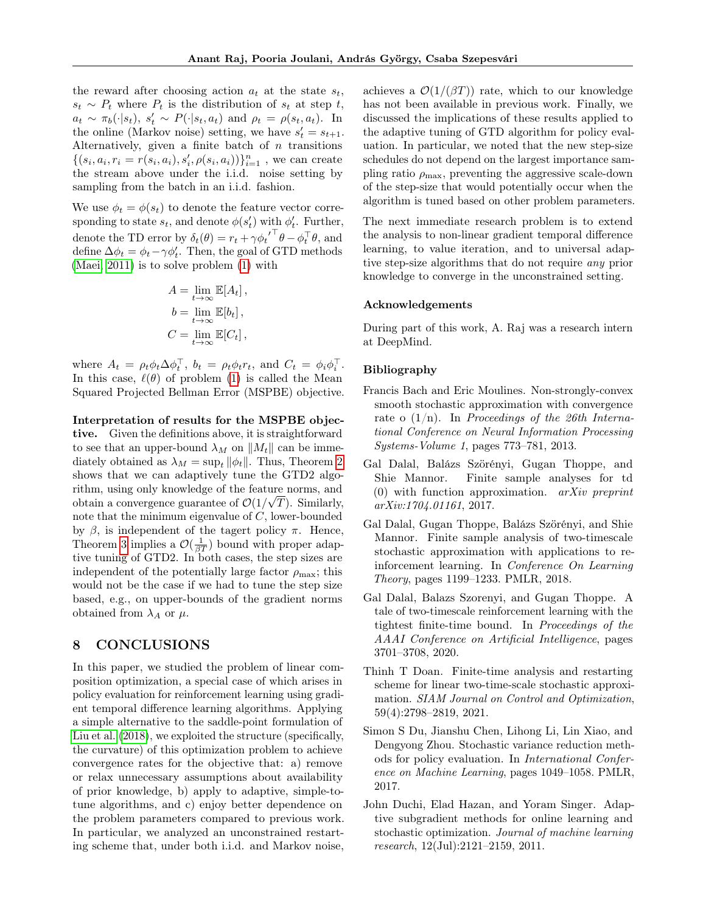the reward after choosing action  $a_t$  at the state  $s_t$ ,  $s_t \sim P_t$  where  $P_t$  is the distribution of  $s_t$  at step t,  $a_t \sim \pi_b(\cdot|s_t), s'_t \sim P(\cdot|s_t, a_t)$  and  $\rho_t = \rho(s_t, a_t)$ . In the online (Markov noise) setting, we have  $s_t' = s_{t+1}$ . Alternatively, given a finite batch of  $n$  transitions  $\{(s_i, a_i, r_i = r(s_i, a_i), s'_i, \rho(s_i, a_i))\}_{i=1}^n$ , we can create the stream above under the i.i.d. noise setting by sampling from the batch in an i.i.d. fashion.

We use  $\phi_t = \phi(s_t)$  to denote the feature vector corresponding to state  $s_t$ , and denote  $\phi(s'_t)$  with  $\phi'_t$ . Further, denote the TD error by  $\delta_t(\theta) = r_t + \gamma {\phi_t'}^\top \theta - \phi_t^\top \theta$ , and define  $\Delta \phi_t = \phi_t - \gamma \phi'_t$ . Then, the goal of GTD methods [\(Maei, 2011\)](#page-9-0) is to solve problem [\(1\)](#page-0-0) with

$$
A = \lim_{t \to \infty} \mathbb{E}[A_t],
$$
  
\n
$$
b = \lim_{t \to \infty} \mathbb{E}[b_t],
$$
  
\n
$$
C = \lim_{t \to \infty} \mathbb{E}[C_t],
$$

where  $A_t = \rho_t \phi_t \Delta \phi_t^{\top}$ ,  $b_t = \rho_t \phi_t r_t$ , and  $C_t = \phi_i \phi_i^{\top}$ . In this case,  $\ell(\theta)$  of problem [\(1\)](#page-0-0) is called the Mean Squared Projected Bellman Error (MSPBE) objective.

Interpretation of results for the MSPBE objective. Given the definitions above, it is straightforward to see that an upper-bound  $\lambda_M$  on  $||M_t||$  can be immediately obtained as  $\lambda_M = \sup_t ||\phi_t||$ . Thus, Theorem [2](#page-6-0) shows that we can adaptively tune the GTD2 algorithm, using only knowledge of the feature norms, and √ obtain a convergence guarantee of  $\mathcal{O}(1/\sqrt{T})$ . Similarly, note that the minimum eigenvalue of  $C$ , lower-bounded by β, is independent of the tagert policy π. Hence, Theorem [3](#page-6-1) implies a  $\mathcal{O}(\frac{1}{\beta T})$  bound with proper adaptive tuning of GTD2. In both cases, the step sizes are independent of the potentially large factor  $\rho_{\text{max}}$ ; this would not be the case if we had to tune the step size based, e.g., on upper-bounds of the gradient norms obtained from  $\lambda_A$  or  $\mu$ .

### 8 CONCLUSIONS

In this paper, we studied the problem of linear composition optimization, a special case of which arises in policy evaluation for reinforcement learning using gradient temporal difference learning algorithms. Applying a simple alternative to the saddle-point formulation of [Liu et al.](#page-9-6) [\(2018\)](#page-9-6), we exploited the structure (specifically, the curvature) of this optimization problem to achieve convergence rates for the objective that: a) remove or relax unnecessary assumptions about availability of prior knowledge, b) apply to adaptive, simple-totune algorithms, and c) enjoy better dependence on the problem parameters compared to previous work. In particular, we analyzed an unconstrained restarting scheme that, under both i.i.d. and Markov noise, achieves a  $\mathcal{O}(1/(\beta T))$  rate, which to our knowledge has not been available in previous work. Finally, we discussed the implications of these results applied to the adaptive tuning of GTD algorithm for policy evaluation. In particular, we noted that the new step-size schedules do not depend on the largest importance sampling ratio  $\rho_{\text{max}}$ , preventing the aggressive scale-down of the step-size that would potentially occur when the algorithm is tuned based on other problem parameters.

The next immediate research problem is to extend the analysis to non-linear gradient temporal difference learning, to value iteration, and to universal adaptive step-size algorithms that do not require any prior knowledge to converge in the unconstrained setting.

#### Acknowledgements

During part of this work, A. Raj was a research intern at DeepMind.

#### Bibliography

- <span id="page-8-1"></span>Francis Bach and Eric Moulines. Non-strongly-convex smooth stochastic approximation with convergence rate o  $(1/n)$ . In Proceedings of the 26th International Conference on Neural Information Processing Systems-Volume 1, pages 773–781, 2013.
- <span id="page-8-3"></span>Gal Dalal, Balázs Szörényi, Gugan Thoppe, and Shie Mannor. Finite sample analyses for td  $(0)$  with function approximation. *arXiv preprint* arXiv:1704.01161, 2017.
- <span id="page-8-4"></span>Gal Dalal, Gugan Thoppe, Balázs Szörényi, and Shie Mannor. Finite sample analysis of two-timescale stochastic approximation with applications to reinforcement learning. In Conference On Learning Theory, pages 1199–1233. PMLR, 2018.
- <span id="page-8-5"></span>Gal Dalal, Balazs Szorenyi, and Gugan Thoppe. A tale of two-timescale reinforcement learning with the tightest finite-time bound. In Proceedings of the AAAI Conference on Artificial Intelligence, pages 3701–3708, 2020.
- <span id="page-8-6"></span>Thinh T Doan. Finite-time analysis and restarting scheme for linear two-time-scale stochastic approximation. SIAM Journal on Control and Optimization, 59(4):2798–2819, 2021.
- <span id="page-8-2"></span>Simon S Du, Jianshu Chen, Lihong Li, Lin Xiao, and Dengyong Zhou. Stochastic variance reduction methods for policy evaluation. In International Conference on Machine Learning, pages 1049–1058. PMLR, 2017.
- <span id="page-8-0"></span>John Duchi, Elad Hazan, and Yoram Singer. Adaptive subgradient methods for online learning and stochastic optimization. Journal of machine learning research, 12(Jul):2121–2159, 2011.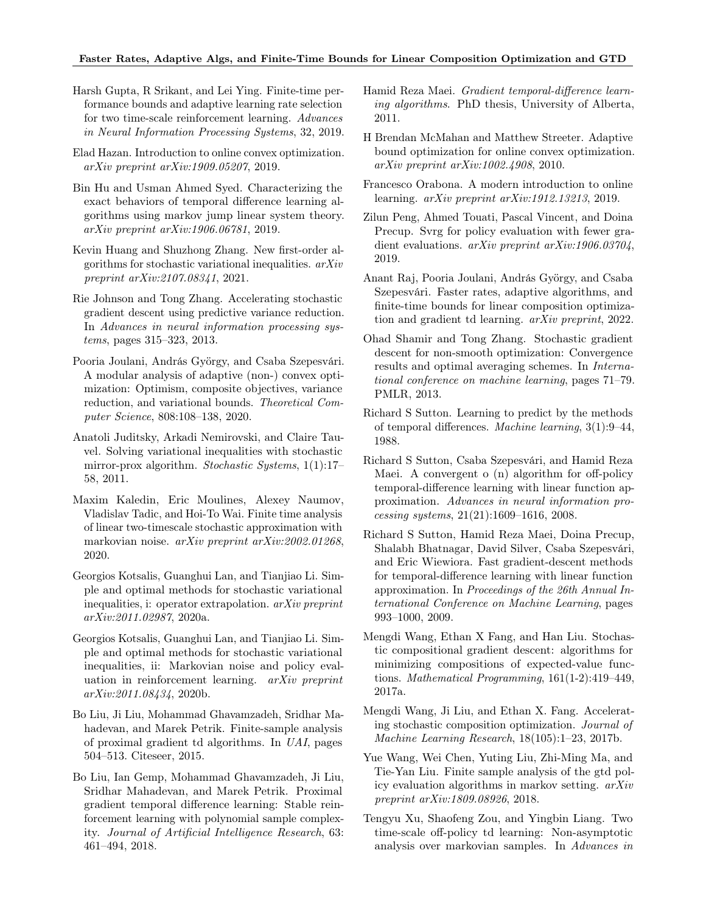### Faster Rates, Adaptive Algs, and Finite-Time Bounds for Linear Composition Optimization and GTD

- <span id="page-9-11"></span>Harsh Gupta, R Srikant, and Lei Ying. Finite-time performance bounds and adaptive learning rate selection for two time-scale reinforcement learning. Advances in Neural Information Processing Systems, 32, 2019.
- <span id="page-9-21"></span>Elad Hazan. Introduction to online convex optimization. arXiv preprint arXiv:1909.05207, 2019.
- <span id="page-9-16"></span>Bin Hu and Usman Ahmed Syed. Characterizing the exact behaviors of temporal difference learning algorithms using markov jump linear system theory. arXiv preprint arXiv:1906.06781, 2019.
- <span id="page-9-17"></span>Kevin Huang and Shuzhong Zhang. New first-order algorithms for stochastic variational inequalities. arXiv preprint arXiv:2107.08341, 2021.
- <span id="page-9-8"></span>Rie Johnson and Tong Zhang. Accelerating stochastic gradient descent using predictive variance reduction. In Advances in neural information processing systems, pages 315–323, 2013.
- <span id="page-9-23"></span>Pooria Joulani, András György, and Csaba Szepesvári. A modular analysis of adaptive (non-) convex optimization: Optimism, composite objectives, variance reduction, and variational bounds. Theoretical Computer Science, 808:108–138, 2020.
- <span id="page-9-24"></span>Anatoli Juditsky, Arkadi Nemirovski, and Claire Tauvel. Solving variational inequalities with stochastic mirror-prox algorithm. Stochastic Systems, 1(1):17– 58, 2011.
- <span id="page-9-12"></span>Maxim Kaledin, Eric Moulines, Alexey Naumov, Vladislav Tadic, and Hoi-To Wai. Finite time analysis of linear two-timescale stochastic approximation with markovian noise. *arXiv preprint arXiv:2002.01268*. 2020.
- <span id="page-9-18"></span>Georgios Kotsalis, Guanghui Lan, and Tianjiao Li. Simple and optimal methods for stochastic variational inequalities, i: operator extrapolation. arXiv preprint arXiv:2011.02987, 2020a.
- <span id="page-9-19"></span>Georgios Kotsalis, Guanghui Lan, and Tianjiao Li. Simple and optimal methods for stochastic variational inequalities, ii: Markovian noise and policy evaluation in reinforcement learning. arXiv preprint arXiv:2011.08434, 2020b.
- <span id="page-9-9"></span>Bo Liu, Ji Liu, Mohammad Ghavamzadeh, Sridhar Mahadevan, and Marek Petrik. Finite-sample analysis of proximal gradient td algorithms. In UAI, pages 504–513. Citeseer, 2015.
- <span id="page-9-6"></span>Bo Liu, Ian Gemp, Mohammad Ghavamzadeh, Ji Liu, Sridhar Mahadevan, and Marek Petrik. Proximal gradient temporal difference learning: Stable reinforcement learning with polynomial sample complexity. Journal of Artificial Intelligence Research, 63: 461–494, 2018.
- <span id="page-9-0"></span>Hamid Reza Maei. Gradient temporal-difference learning algorithms. PhD thesis, University of Alberta, 2011.
- <span id="page-9-5"></span>H Brendan McMahan and Matthew Streeter. Adaptive bound optimization for online convex optimization. arXiv preprint arXiv:1002.4908, 2010.
- <span id="page-9-22"></span>Francesco Orabona. A modern introduction to online learning. arXiv preprint arXiv:1912.13213, 2019.
- <span id="page-9-7"></span>Zilun Peng, Ahmed Touati, Pascal Vincent, and Doina Precup. Svrg for policy evaluation with fewer gradient evaluations. arXiv preprint arXiv:1906.03704, 2019.
- <span id="page-9-10"></span>Anant Raj, Pooria Joulani, András György, and Csaba Szepesvári. Faster rates, adaptive algorithms, and finite-time bounds for linear composition optimization and gradient td learning. arXiv preprint, 2022.
- <span id="page-9-20"></span>Ohad Shamir and Tong Zhang. Stochastic gradient descent for non-smooth optimization: Convergence results and optimal averaging schemes. In International conference on machine learning, pages 71–79. PMLR, 2013.
- <span id="page-9-1"></span>Richard S Sutton. Learning to predict by the methods of temporal differences. Machine learning, 3(1):9–44, 1988.
- <span id="page-9-2"></span>Richard S Sutton, Csaba Szepesvári, and Hamid Reza Maei. A convergent o (n) algorithm for off-policy temporal-difference learning with linear function approximation. Advances in neural information processing systems, 21(21):1609–1616, 2008.
- <span id="page-9-3"></span>Richard S Sutton, Hamid Reza Maei, Doina Precup, Shalabh Bhatnagar, David Silver, Csaba Szepesvári, and Eric Wiewiora. Fast gradient-descent methods for temporal-difference learning with linear function approximation. In Proceedings of the 26th Annual International Conference on Machine Learning, pages 993–1000, 2009.
- <span id="page-9-4"></span>Mengdi Wang, Ethan X Fang, and Han Liu. Stochastic compositional gradient descent: algorithms for minimizing compositions of expected-value functions. Mathematical Programming, 161(1-2):419–449, 2017a.
- <span id="page-9-14"></span>Mengdi Wang, Ji Liu, and Ethan X. Fang. Accelerating stochastic composition optimization. Journal of Machine Learning Research, 18(105):1–23, 2017b.
- <span id="page-9-15"></span>Yue Wang, Wei Chen, Yuting Liu, Zhi-Ming Ma, and Tie-Yan Liu. Finite sample analysis of the gtd policy evaluation algorithms in markov setting. arXiv preprint arXiv:1809.08926, 2018.
- <span id="page-9-13"></span>Tengyu Xu, Shaofeng Zou, and Yingbin Liang. Two time-scale off-policy td learning: Non-asymptotic analysis over markovian samples. In Advances in